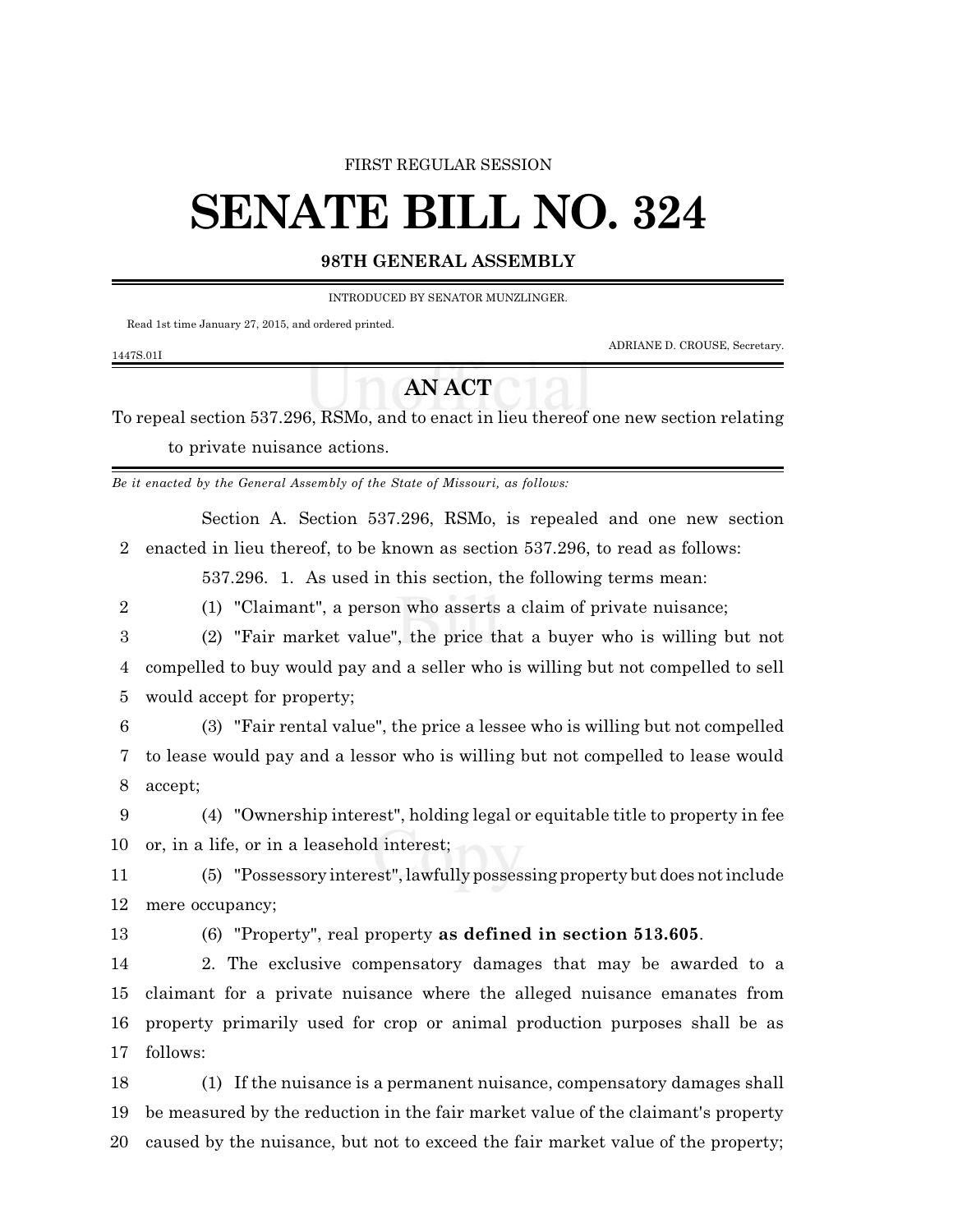#### FIRST REGULAR SESSION

# **SENATE BILL NO. 324**

## **98TH GENERAL ASSEMBLY**

INTRODUCED BY SENATOR MUNZLINGER.

Read 1st time January 27, 2015, and ordered printed.

ADRIANE D. CROUSE, Secretary.

### 1447S.01I

## **AN ACT**

To repeal section 537.296, RSMo, and to enact in lieu thereof one new section relating to private nuisance actions.

*Be it enacted by the General Assembly of the State of Missouri, as follows:*

Section A. Section 537.296, RSMo, is repealed and one new section enacted in lieu thereof, to be known as section 537.296, to read as follows:

537.296. 1. As used in this section, the following terms mean:

(1) "Claimant", a person who asserts a claim of private nuisance;

 (2) "Fair market value", the price that a buyer who is willing but not compelled to buy would pay and a seller who is willing but not compelled to sell would accept for property;

 (3) "Fair rental value", the price a lessee who is willing but not compelled to lease would pay and a lessor who is willing but not compelled to lease would accept;

 (4) "Ownership interest", holding legal or equitable title to property in fee or, in a life, or in a leasehold interest;

 (5) "Possessory interest",lawfully possessing property but does not include mere occupancy;

(6) "Property", real property **as defined in section 513.605**.

 2. The exclusive compensatory damages that may be awarded to a claimant for a private nuisance where the alleged nuisance emanates from property primarily used for crop or animal production purposes shall be as follows:

 (1) If the nuisance is a permanent nuisance, compensatory damages shall be measured by the reduction in the fair market value of the claimant's property caused by the nuisance, but not to exceed the fair market value of the property;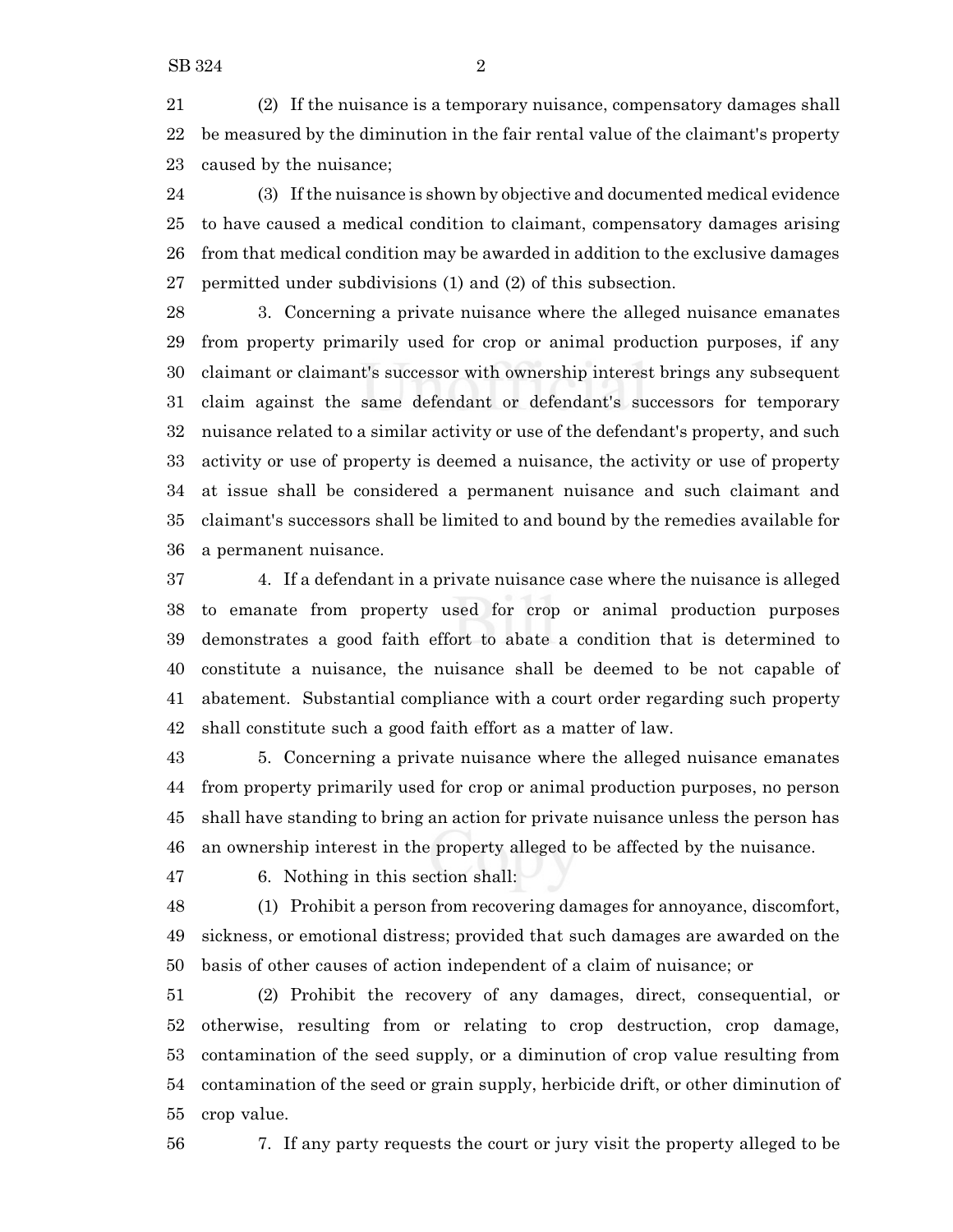(2) If the nuisance is a temporary nuisance, compensatory damages shall be measured by the diminution in the fair rental value of the claimant's property caused by the nuisance;

 (3) Ifthe nuisance is shown by objective and documented medical evidence to have caused a medical condition to claimant, compensatory damages arising from that medical condition may be awarded in addition to the exclusive damages permitted under subdivisions (1) and (2) of this subsection.

 3. Concerning a private nuisance where the alleged nuisance emanates from property primarily used for crop or animal production purposes, if any claimant or claimant's successor with ownership interest brings any subsequent claim against the same defendant or defendant's successors for temporary nuisance related to a similar activity or use of the defendant's property, and such activity or use of property is deemed a nuisance, the activity or use of property at issue shall be considered a permanent nuisance and such claimant and claimant's successors shall be limited to and bound by the remedies available for a permanent nuisance.

 4. If a defendant in a private nuisance case where the nuisance is alleged to emanate from property used for crop or animal production purposes demonstrates a good faith effort to abate a condition that is determined to constitute a nuisance, the nuisance shall be deemed to be not capable of abatement. Substantial compliance with a court order regarding such property shall constitute such a good faith effort as a matter of law.

 5. Concerning a private nuisance where the alleged nuisance emanates from property primarily used for crop or animal production purposes, no person shall have standing to bring an action for private nuisance unless the person has an ownership interest in the property alleged to be affected by the nuisance.

6. Nothing in this section shall:

 (1) Prohibit a person from recovering damages for annoyance, discomfort, sickness, or emotional distress; provided that such damages are awarded on the basis of other causes of action independent of a claim of nuisance; or

 (2) Prohibit the recovery of any damages, direct, consequential, or otherwise, resulting from or relating to crop destruction, crop damage, contamination of the seed supply, or a diminution of crop value resulting from contamination of the seed or grain supply, herbicide drift, or other diminution of crop value.

7. If any party requests the court or jury visit the property alleged to be